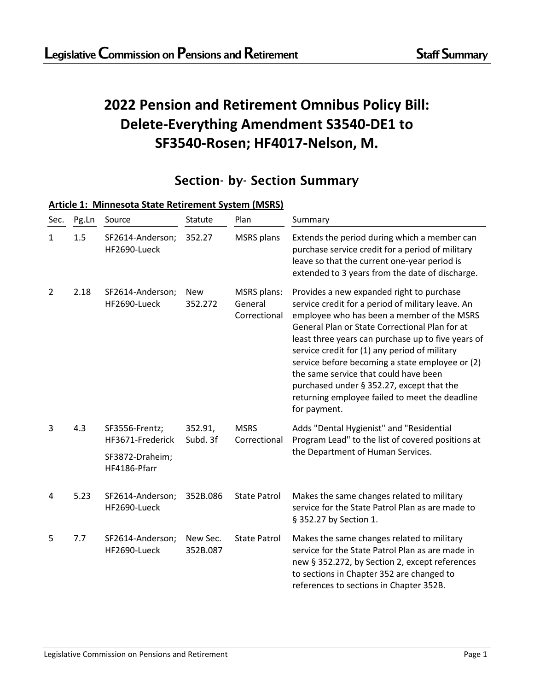# **2022 Pension and Retirement Omnibus Policy Bill: Delete-Everything Amendment S3540-DE1 to SF3540-Rosen; HF4017-Nelson, M.**

## Section- by- Section Summary

| Sec.         | Pg.Ln | Source                                                                | Statute               | Plan                                          | Summary                                                                                                                                                                                                                                                                                                                                                                                                                                                                                                          |
|--------------|-------|-----------------------------------------------------------------------|-----------------------|-----------------------------------------------|------------------------------------------------------------------------------------------------------------------------------------------------------------------------------------------------------------------------------------------------------------------------------------------------------------------------------------------------------------------------------------------------------------------------------------------------------------------------------------------------------------------|
| $\mathbf{1}$ | 1.5   | SF2614-Anderson;<br>HF2690-Lueck                                      | 352.27                | MSRS plans                                    | Extends the period during which a member can<br>purchase service credit for a period of military<br>leave so that the current one-year period is<br>extended to 3 years from the date of discharge.                                                                                                                                                                                                                                                                                                              |
| 2            | 2.18  | SF2614-Anderson;<br>HF2690-Lueck                                      | <b>New</b><br>352.272 | <b>MSRS</b> plans:<br>General<br>Correctional | Provides a new expanded right to purchase<br>service credit for a period of military leave. An<br>employee who has been a member of the MSRS<br>General Plan or State Correctional Plan for at<br>least three years can purchase up to five years of<br>service credit for (1) any period of military<br>service before becoming a state employee or (2)<br>the same service that could have been<br>purchased under § 352.27, except that the<br>returning employee failed to meet the deadline<br>for payment. |
| 3            | 4.3   | SF3556-Frentz;<br>HF3671-Frederick<br>SF3872-Draheim;<br>HF4186-Pfarr | 352.91,<br>Subd. 3f   | <b>MSRS</b><br>Correctional                   | Adds "Dental Hygienist" and "Residential<br>Program Lead" to the list of covered positions at<br>the Department of Human Services.                                                                                                                                                                                                                                                                                                                                                                               |
| 4            | 5.23  | SF2614-Anderson;<br>HF2690-Lueck                                      | 352B.086              | <b>State Patrol</b>                           | Makes the same changes related to military<br>service for the State Patrol Plan as are made to<br>§ 352.27 by Section 1.                                                                                                                                                                                                                                                                                                                                                                                         |
| 5            | 7.7   | SF2614-Anderson;<br>HF2690-Lueck                                      | New Sec.<br>352B.087  | <b>State Patrol</b>                           | Makes the same changes related to military<br>service for the State Patrol Plan as are made in<br>new § 352.272, by Section 2, except references<br>to sections in Chapter 352 are changed to<br>references to sections in Chapter 352B.                                                                                                                                                                                                                                                                         |

#### **Article 1: Minnesota State Retirement System (MSRS)**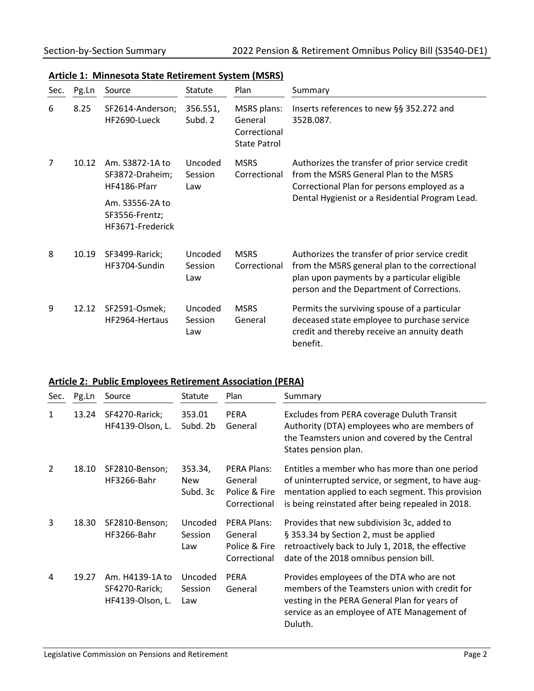| Sec. | Pg.Ln | Source                                                | Statute                   | Plan                                                                 | Summary                                                                                                                                                                                       |  |
|------|-------|-------------------------------------------------------|---------------------------|----------------------------------------------------------------------|-----------------------------------------------------------------------------------------------------------------------------------------------------------------------------------------------|--|
| 6    | 8.25  | SF2614-Anderson;<br>HF2690-Lueck                      | 356.551,<br>Subd. 2       | <b>MSRS</b> plans:<br>General<br>Correctional<br><b>State Patrol</b> | Inserts references to new §§ 352.272 and<br>352B.087.                                                                                                                                         |  |
| 7    | 10.12 | Am. S3872-1A to<br>SF3872-Draheim;<br>HF4186-Pfarr    | Uncoded<br>Session<br>Law | <b>MSRS</b><br>Correctional                                          | Authorizes the transfer of prior service credit<br>from the MSRS General Plan to the MSRS<br>Correctional Plan for persons employed as a                                                      |  |
|      |       | Am. S3556-2A to<br>SF3556-Frentz;<br>HF3671-Frederick |                           |                                                                      | Dental Hygienist or a Residential Program Lead.                                                                                                                                               |  |
| 8    | 10.19 | SF3499-Rarick;<br>HF3704-Sundin                       | Uncoded<br>Session<br>Law | <b>MSRS</b><br>Correctional                                          | Authorizes the transfer of prior service credit<br>from the MSRS general plan to the correctional<br>plan upon payments by a particular eligible<br>person and the Department of Corrections. |  |
| 9    | 12.12 | SF2591-Osmek;<br>HF2964-Hertaus                       | Uncoded<br>Session<br>Law | <b>MSRS</b><br>General                                               | Permits the surviving spouse of a particular<br>deceased state employee to purchase service<br>credit and thereby receive an annuity death<br>benefit.                                        |  |

#### **Article 1: Minnesota State Retirement System (MSRS)**

#### **Article 2: Public Employees Retirement Association (PERA)**

| Sec. | Pg.Ln | Source                                                | <b>Statute</b>                    | Plan                                                           | Summary                                                                                                                                                                                                        |
|------|-------|-------------------------------------------------------|-----------------------------------|----------------------------------------------------------------|----------------------------------------------------------------------------------------------------------------------------------------------------------------------------------------------------------------|
| 1    | 13.24 | SF4270-Rarick;<br>HF4139-Olson, L.                    | 353.01<br>Subd. 2b                | <b>PERA</b><br>General                                         | Excludes from PERA coverage Duluth Transit<br>Authority (DTA) employees who are members of<br>the Teamsters union and covered by the Central<br>States pension plan.                                           |
| 2    | 18.10 | SF2810-Benson;<br>HF3266-Bahr                         | 353.34,<br><b>New</b><br>Subd. 3c | <b>PERA Plans:</b><br>General<br>Police & Fire<br>Correctional | Entitles a member who has more than one period<br>of uninterrupted service, or segment, to have aug-<br>mentation applied to each segment. This provision<br>is being reinstated after being repealed in 2018. |
| 3    | 18.30 | SF2810-Benson;<br>HF3266-Bahr                         | Uncoded<br><b>Session</b><br>Law  | <b>PERA Plans:</b><br>General<br>Police & Fire<br>Correctional | Provides that new subdivision 3c, added to<br>§ 353.34 by Section 2, must be applied<br>retroactively back to July 1, 2018, the effective<br>date of the 2018 omnibus pension bill.                            |
| 4    | 19.27 | Am. H4139-1A to<br>SF4270-Rarick;<br>HF4139-Olson, L. | Uncoded<br>Session<br>Law         | <b>PERA</b><br>General                                         | Provides employees of the DTA who are not<br>members of the Teamsters union with credit for<br>vesting in the PERA General Plan for years of<br>service as an employee of ATE Management of<br>Duluth.         |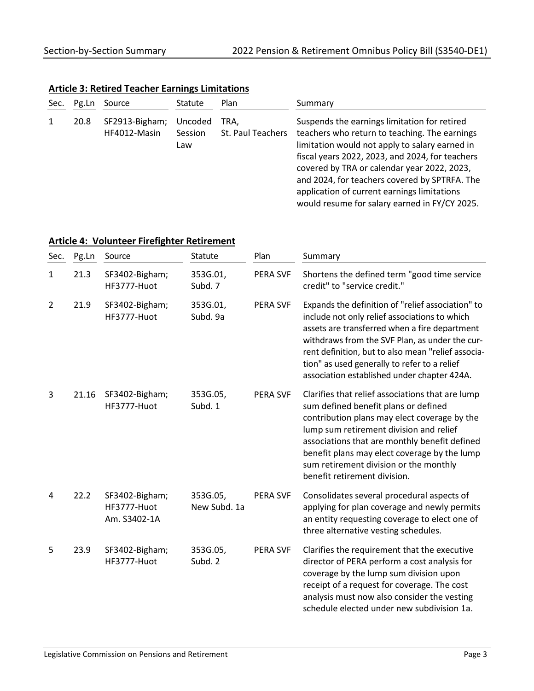| Sec. | Pg.Ln | Source                         | Statute                   | Plan                      | Summary                                                                                                                                                                                                                                                                                                                                                                                            |
|------|-------|--------------------------------|---------------------------|---------------------------|----------------------------------------------------------------------------------------------------------------------------------------------------------------------------------------------------------------------------------------------------------------------------------------------------------------------------------------------------------------------------------------------------|
|      | 20.8  | SF2913-Bigham;<br>HF4012-Masin | Uncoded<br>Session<br>Law | TRA.<br>St. Paul Teachers | Suspends the earnings limitation for retired<br>teachers who return to teaching. The earnings<br>limitation would not apply to salary earned in<br>fiscal years 2022, 2023, and 2024, for teachers<br>covered by TRA or calendar year 2022, 2023,<br>and 2024, for teachers covered by SPTRFA. The<br>application of current earnings limitations<br>would resume for salary earned in FY/CY 2025. |

#### **Article 3: Retired Teacher Earnings Limitations**

| Sec. | Pg.Ln | Source                                        | Statute                  | Plan            | Summary                                                                                                                                                                                                                                                                                                                                                        |
|------|-------|-----------------------------------------------|--------------------------|-----------------|----------------------------------------------------------------------------------------------------------------------------------------------------------------------------------------------------------------------------------------------------------------------------------------------------------------------------------------------------------------|
| 1    | 21.3  | SF3402-Bigham;<br>HF3777-Huot                 | 353G.01,<br>Subd. 7      | <b>PERA SVF</b> | Shortens the defined term "good time service<br>credit" to "service credit."                                                                                                                                                                                                                                                                                   |
| 2    | 21.9  | SF3402-Bigham;<br>HF3777-Huot                 | 353G.01,<br>Subd. 9a     | <b>PERA SVF</b> | Expands the definition of "relief association" to<br>include not only relief associations to which<br>assets are transferred when a fire department<br>withdraws from the SVF Plan, as under the cur-<br>rent definition, but to also mean "relief associa-<br>tion" as used generally to refer to a relief<br>association established under chapter 424A.     |
| 3    | 21.16 | SF3402-Bigham;<br>HF3777-Huot                 | 353G.05,<br>Subd. 1      | <b>PERA SVF</b> | Clarifies that relief associations that are lump<br>sum defined benefit plans or defined<br>contribution plans may elect coverage by the<br>lump sum retirement division and relief<br>associations that are monthly benefit defined<br>benefit plans may elect coverage by the lump<br>sum retirement division or the monthly<br>benefit retirement division. |
| 4    | 22.2  | SF3402-Bigham;<br>HF3777-Huot<br>Am. S3402-1A | 353G.05,<br>New Subd. 1a | <b>PERA SVF</b> | Consolidates several procedural aspects of<br>applying for plan coverage and newly permits<br>an entity requesting coverage to elect one of<br>three alternative vesting schedules.                                                                                                                                                                            |
| 5    | 23.9  | SF3402-Bigham;<br>HF3777-Huot                 | 353G.05,<br>Subd. 2      | <b>PERA SVF</b> | Clarifies the requirement that the executive<br>director of PERA perform a cost analysis for<br>coverage by the lump sum division upon<br>receipt of a request for coverage. The cost<br>analysis must now also consider the vesting<br>schedule elected under new subdivision 1a.                                                                             |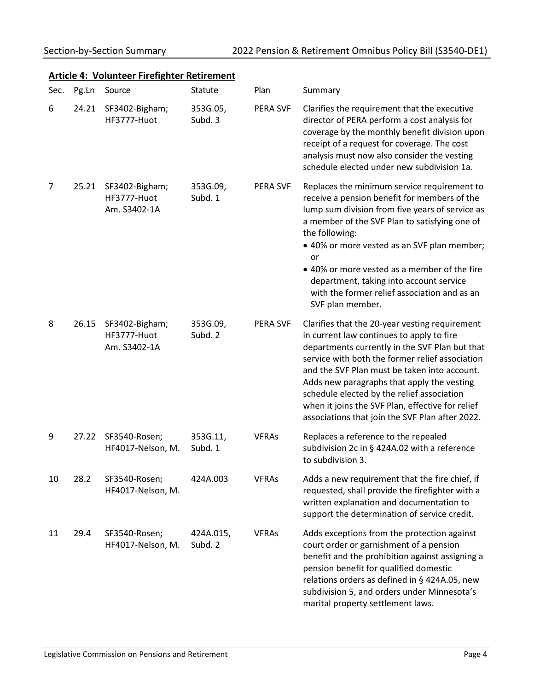| Sec. | Pg.Ln | Source                                        | Statute              | Plan            | Summary                                                                                                                                                                                                                                                                                                                                                                                                                                             |
|------|-------|-----------------------------------------------|----------------------|-----------------|-----------------------------------------------------------------------------------------------------------------------------------------------------------------------------------------------------------------------------------------------------------------------------------------------------------------------------------------------------------------------------------------------------------------------------------------------------|
| 6    | 24.21 | SF3402-Bigham;<br>HF3777-Huot                 | 353G.05,<br>Subd. 3  | <b>PERA SVF</b> | Clarifies the requirement that the executive<br>director of PERA perform a cost analysis for<br>coverage by the monthly benefit division upon<br>receipt of a request for coverage. The cost<br>analysis must now also consider the vesting<br>schedule elected under new subdivision 1a.                                                                                                                                                           |
| 7    | 25.21 | SF3402-Bigham;<br>HF3777-Huot<br>Am. S3402-1A | 353G.09,<br>Subd. 1  | <b>PERA SVF</b> | Replaces the minimum service requirement to<br>receive a pension benefit for members of the<br>lump sum division from five years of service as<br>a member of the SVF Plan to satisfying one of<br>the following:<br>• 40% or more vested as an SVF plan member;<br>or<br>• 40% or more vested as a member of the fire<br>department, taking into account service<br>with the former relief association and as an<br>SVF plan member.               |
| 8    | 26.15 | SF3402-Bigham;<br>HF3777-Huot<br>Am. S3402-1A | 353G.09,<br>Subd. 2  | <b>PERA SVF</b> | Clarifies that the 20-year vesting requirement<br>in current law continues to apply to fire<br>departments currently in the SVF Plan but that<br>service with both the former relief association<br>and the SVF Plan must be taken into account.<br>Adds new paragraphs that apply the vesting<br>schedule elected by the relief association<br>when it joins the SVF Plan, effective for relief<br>associations that join the SVF Plan after 2022. |
| 9    | 27.22 | SF3540-Rosen;<br>HF4017-Nelson, M.            | 353G.11,<br>Subd. 1  | <b>VFRAs</b>    | Replaces a reference to the repealed<br>subdivision 2c in § 424A.02 with a reference<br>to subdivision 3.                                                                                                                                                                                                                                                                                                                                           |
| 10   | 28.2  | SF3540-Rosen;<br>HF4017-Nelson, M.            | 424A.003             | <b>VFRAs</b>    | Adds a new requirement that the fire chief, if<br>requested, shall provide the firefighter with a<br>written explanation and documentation to<br>support the determination of service credit.                                                                                                                                                                                                                                                       |
| 11   | 29.4  | SF3540-Rosen;<br>HF4017-Nelson, M.            | 424A.015,<br>Subd. 2 | <b>VFRAs</b>    | Adds exceptions from the protection against<br>court order or garnishment of a pension<br>benefit and the prohibition against assigning a<br>pension benefit for qualified domestic<br>relations orders as defined in § 424A.05, new<br>subdivision 5, and orders under Minnesota's<br>marital property settlement laws.                                                                                                                            |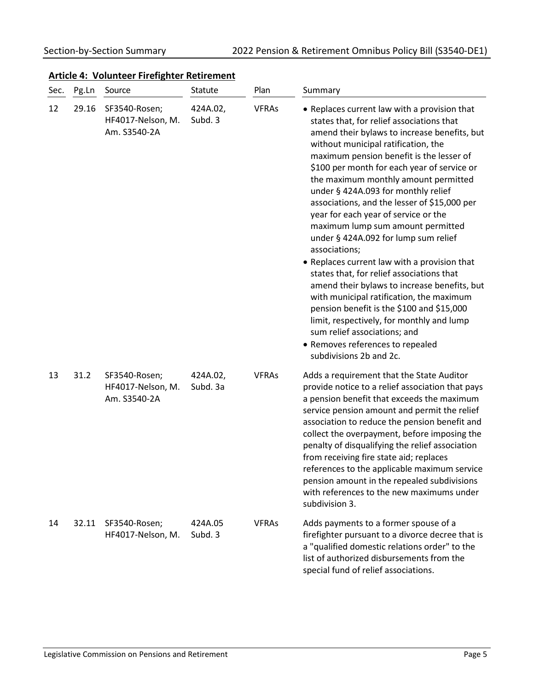| Sec. | Pg.Ln | Source                                             | Statute              | Plan         | Summary                                                                                                                                                                                                                                                                                                                                                                                                                                                                                                                                                                                                                                                                                                                                                                                                                                                                                                                            |
|------|-------|----------------------------------------------------|----------------------|--------------|------------------------------------------------------------------------------------------------------------------------------------------------------------------------------------------------------------------------------------------------------------------------------------------------------------------------------------------------------------------------------------------------------------------------------------------------------------------------------------------------------------------------------------------------------------------------------------------------------------------------------------------------------------------------------------------------------------------------------------------------------------------------------------------------------------------------------------------------------------------------------------------------------------------------------------|
| 12   | 29.16 | SF3540-Rosen;<br>HF4017-Nelson, M.<br>Am. S3540-2A | 424A.02,<br>Subd. 3  | <b>VFRAs</b> | • Replaces current law with a provision that<br>states that, for relief associations that<br>amend their bylaws to increase benefits, but<br>without municipal ratification, the<br>maximum pension benefit is the lesser of<br>\$100 per month for each year of service or<br>the maximum monthly amount permitted<br>under § 424A.093 for monthly relief<br>associations, and the lesser of \$15,000 per<br>year for each year of service or the<br>maximum lump sum amount permitted<br>under § 424A.092 for lump sum relief<br>associations;<br>• Replaces current law with a provision that<br>states that, for relief associations that<br>amend their bylaws to increase benefits, but<br>with municipal ratification, the maximum<br>pension benefit is the \$100 and \$15,000<br>limit, respectively, for monthly and lump<br>sum relief associations; and<br>• Removes references to repealed<br>subdivisions 2b and 2c. |
| 13   | 31.2  | SF3540-Rosen;<br>HF4017-Nelson, M.<br>Am. S3540-2A | 424A.02,<br>Subd. 3a | <b>VFRAs</b> | Adds a requirement that the State Auditor<br>provide notice to a relief association that pays<br>a pension benefit that exceeds the maximum<br>service pension amount and permit the relief<br>association to reduce the pension benefit and<br>collect the overpayment, before imposing the<br>penalty of disqualifying the relief association<br>from receiving fire state aid; replaces<br>references to the applicable maximum service<br>pension amount in the repealed subdivisions<br>with references to the new maximums under<br>subdivision 3.                                                                                                                                                                                                                                                                                                                                                                           |
| 14   | 32.11 | SF3540-Rosen;<br>HF4017-Nelson, M.                 | 424A.05<br>Subd. 3   | <b>VFRAs</b> | Adds payments to a former spouse of a<br>firefighter pursuant to a divorce decree that is<br>a "qualified domestic relations order" to the<br>list of authorized disbursements from the<br>special fund of relief associations.                                                                                                                                                                                                                                                                                                                                                                                                                                                                                                                                                                                                                                                                                                    |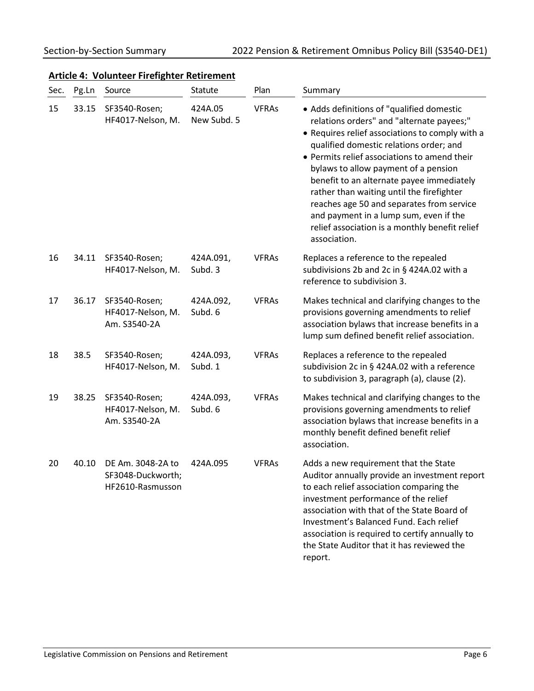| Sec. | Pg.Ln | Source                                                     | <b>Statute</b>         | Plan         | Summary                                                                                                                                                                                                                                                                                                                                                                                                                                                                                                                         |
|------|-------|------------------------------------------------------------|------------------------|--------------|---------------------------------------------------------------------------------------------------------------------------------------------------------------------------------------------------------------------------------------------------------------------------------------------------------------------------------------------------------------------------------------------------------------------------------------------------------------------------------------------------------------------------------|
| 15   | 33.15 | SF3540-Rosen;<br>HF4017-Nelson, M.                         | 424A.05<br>New Subd. 5 | <b>VFRAs</b> | • Adds definitions of "qualified domestic<br>relations orders" and "alternate payees;"<br>• Requires relief associations to comply with a<br>qualified domestic relations order; and<br>• Permits relief associations to amend their<br>bylaws to allow payment of a pension<br>benefit to an alternate payee immediately<br>rather than waiting until the firefighter<br>reaches age 50 and separates from service<br>and payment in a lump sum, even if the<br>relief association is a monthly benefit relief<br>association. |
| 16   | 34.11 | SF3540-Rosen;<br>HF4017-Nelson, M.                         | 424A.091,<br>Subd. 3   | <b>VFRAs</b> | Replaces a reference to the repealed<br>subdivisions 2b and 2c in § 424A.02 with a<br>reference to subdivision 3.                                                                                                                                                                                                                                                                                                                                                                                                               |
| 17   | 36.17 | SF3540-Rosen;<br>HF4017-Nelson, M.<br>Am. S3540-2A         | 424A.092,<br>Subd. 6   | <b>VFRAs</b> | Makes technical and clarifying changes to the<br>provisions governing amendments to relief<br>association bylaws that increase benefits in a<br>lump sum defined benefit relief association.                                                                                                                                                                                                                                                                                                                                    |
| 18   | 38.5  | SF3540-Rosen;<br>HF4017-Nelson, M.                         | 424A.093,<br>Subd. 1   | <b>VFRAs</b> | Replaces a reference to the repealed<br>subdivision 2c in § 424A.02 with a reference<br>to subdivision 3, paragraph (a), clause (2).                                                                                                                                                                                                                                                                                                                                                                                            |
| 19   | 38.25 | SF3540-Rosen;<br>HF4017-Nelson, M.<br>Am. S3540-2A         | 424A.093,<br>Subd. 6   | <b>VFRAs</b> | Makes technical and clarifying changes to the<br>provisions governing amendments to relief<br>association bylaws that increase benefits in a<br>monthly benefit defined benefit relief<br>association.                                                                                                                                                                                                                                                                                                                          |
| 20   | 40.10 | DE Am. 3048-2A to<br>SF3048-Duckworth;<br>HF2610-Rasmusson | 424A.095               | <b>VFRAs</b> | Adds a new requirement that the State<br>Auditor annually provide an investment report<br>to each relief association comparing the<br>investment performance of the relief<br>association with that of the State Board of<br>Investment's Balanced Fund. Each relief<br>association is required to certify annually to<br>the State Auditor that it has reviewed the<br>report.                                                                                                                                                 |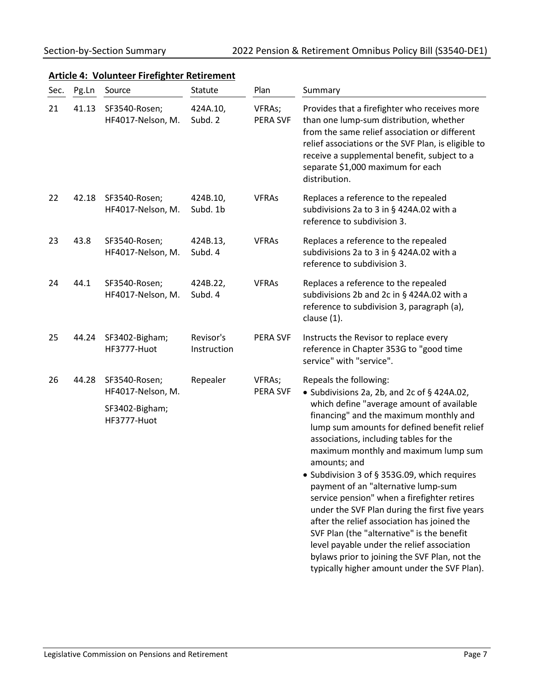| Sec. | Pg.Ln | Source                                                              | Statute                  | Plan                      | Summary                                                                                                                                                                                                                                                                                                                                                                                                                                                                                                                                                                                                                                                                                           |
|------|-------|---------------------------------------------------------------------|--------------------------|---------------------------|---------------------------------------------------------------------------------------------------------------------------------------------------------------------------------------------------------------------------------------------------------------------------------------------------------------------------------------------------------------------------------------------------------------------------------------------------------------------------------------------------------------------------------------------------------------------------------------------------------------------------------------------------------------------------------------------------|
| 21   | 41.13 | SF3540-Rosen;<br>HF4017-Nelson, M.                                  | 424A.10,<br>Subd. 2      | VFRAs;<br><b>PERA SVF</b> | Provides that a firefighter who receives more<br>than one lump-sum distribution, whether<br>from the same relief association or different<br>relief associations or the SVF Plan, is eligible to<br>receive a supplemental benefit, subject to a<br>separate \$1,000 maximum for each<br>distribution.                                                                                                                                                                                                                                                                                                                                                                                            |
| 22   | 42.18 | SF3540-Rosen;<br>HF4017-Nelson, M.                                  | 424B.10,<br>Subd. 1b     | <b>VFRAs</b>              | Replaces a reference to the repealed<br>subdivisions 2a to 3 in § 424A.02 with a<br>reference to subdivision 3.                                                                                                                                                                                                                                                                                                                                                                                                                                                                                                                                                                                   |
| 23   | 43.8  | SF3540-Rosen;<br>HF4017-Nelson, M.                                  | 424B.13,<br>Subd. 4      | <b>VFRAs</b>              | Replaces a reference to the repealed<br>subdivisions 2a to 3 in § 424A.02 with a<br>reference to subdivision 3.                                                                                                                                                                                                                                                                                                                                                                                                                                                                                                                                                                                   |
| 24   | 44.1  | SF3540-Rosen;<br>HF4017-Nelson, M.                                  | 424B.22,<br>Subd. 4      | <b>VFRAs</b>              | Replaces a reference to the repealed<br>subdivisions 2b and 2c in § 424A.02 with a<br>reference to subdivision 3, paragraph (a),<br>clause (1).                                                                                                                                                                                                                                                                                                                                                                                                                                                                                                                                                   |
| 25   | 44.24 | SF3402-Bigham;<br>HF3777-Huot                                       | Revisor's<br>Instruction | <b>PERA SVF</b>           | Instructs the Revisor to replace every<br>reference in Chapter 353G to "good time<br>service" with "service".                                                                                                                                                                                                                                                                                                                                                                                                                                                                                                                                                                                     |
| 26   | 44.28 | SF3540-Rosen;<br>HF4017-Nelson, M.<br>SF3402-Bigham;<br>HF3777-Huot | Repealer                 | VFRAs;<br><b>PERA SVF</b> | Repeals the following:<br>• Subdivisions 2a, 2b, and 2c of § 424A.02,<br>which define "average amount of available<br>financing" and the maximum monthly and<br>lump sum amounts for defined benefit relief<br>associations, including tables for the<br>maximum monthly and maximum lump sum<br>amounts; and<br>• Subdivision 3 of § 353G.09, which requires<br>payment of an "alternative lump-sum<br>service pension" when a firefighter retires<br>under the SVF Plan during the first five years<br>after the relief association has joined the<br>SVF Plan (the "alternative" is the benefit<br>level payable under the relief association<br>bylaws prior to joining the SVF Plan, not the |

typically higher amount under the SVF Plan).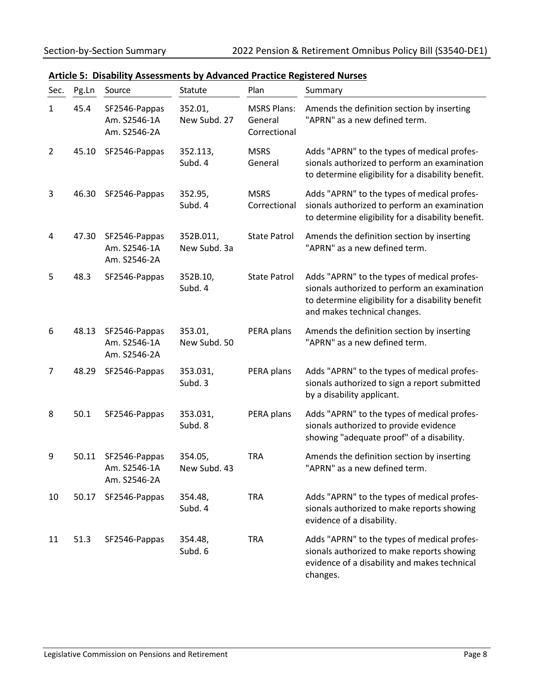| Sec. | Pg.Ln | Source                                        | Statute                   | Plan                                          | Summary                                                                                                                                                                          |
|------|-------|-----------------------------------------------|---------------------------|-----------------------------------------------|----------------------------------------------------------------------------------------------------------------------------------------------------------------------------------|
| 1    | 45.4  | SF2546-Pappas<br>Am. S2546-1A<br>Am. S2546-2A | 352.01,<br>New Subd. 27   | <b>MSRS Plans:</b><br>General<br>Correctional | Amends the definition section by inserting<br>"APRN" as a new defined term.                                                                                                      |
| 2    | 45.10 | SF2546-Pappas                                 | 352.113,<br>Subd. 4       | <b>MSRS</b><br>General                        | Adds "APRN" to the types of medical profes-<br>sionals authorized to perform an examination<br>to determine eligibility for a disability benefit.                                |
| 3    | 46.30 | SF2546-Pappas                                 | 352.95,<br>Subd. 4        | <b>MSRS</b><br>Correctional                   | Adds "APRN" to the types of medical profes-<br>sionals authorized to perform an examination<br>to determine eligibility for a disability benefit.                                |
| 4    | 47.30 | SF2546-Pappas<br>Am. S2546-1A<br>Am. S2546-2A | 352B.011,<br>New Subd. 3a | <b>State Patrol</b>                           | Amends the definition section by inserting<br>"APRN" as a new defined term.                                                                                                      |
| 5    | 48.3  | SF2546-Pappas                                 | 352B.10,<br>Subd. 4       | <b>State Patrol</b>                           | Adds "APRN" to the types of medical profes-<br>sionals authorized to perform an examination<br>to determine eligibility for a disability benefit<br>and makes technical changes. |
| 6    | 48.13 | SF2546-Pappas<br>Am. S2546-1A<br>Am. S2546-2A | 353.01,<br>New Subd. 50   | PERA plans                                    | Amends the definition section by inserting<br>"APRN" as a new defined term.                                                                                                      |
| 7    | 48.29 | SF2546-Pappas                                 | 353.031,<br>Subd. 3       | PERA plans                                    | Adds "APRN" to the types of medical profes-<br>sionals authorized to sign a report submitted<br>by a disability applicant.                                                       |
| 8    | 50.1  | SF2546-Pappas                                 | 353.031,<br>Subd. 8       | PERA plans                                    | Adds "APRN" to the types of medical profes-<br>sionals authorized to provide evidence<br>showing "adequate proof" of a disability.                                               |
| 9    | 50.11 | SF2546-Pappas<br>Am. S2546-1A<br>Am. S2546-2A | 354.05,<br>New Subd. 43   | <b>TRA</b>                                    | Amends the definition section by inserting<br>"APRN" as a new defined term.                                                                                                      |
| 10   | 50.17 | SF2546-Pappas                                 | 354.48,<br>Subd. 4        | <b>TRA</b>                                    | Adds "APRN" to the types of medical profes-<br>sionals authorized to make reports showing<br>evidence of a disability.                                                           |
| 11   | 51.3  | SF2546-Pappas                                 | 354.48,<br>Subd. 6        | <b>TRA</b>                                    | Adds "APRN" to the types of medical profes-<br>sionals authorized to make reports showing<br>evidence of a disability and makes technical<br>changes.                            |

#### **Article 5: Disability Assessments by Advanced Practice Registered Nurses**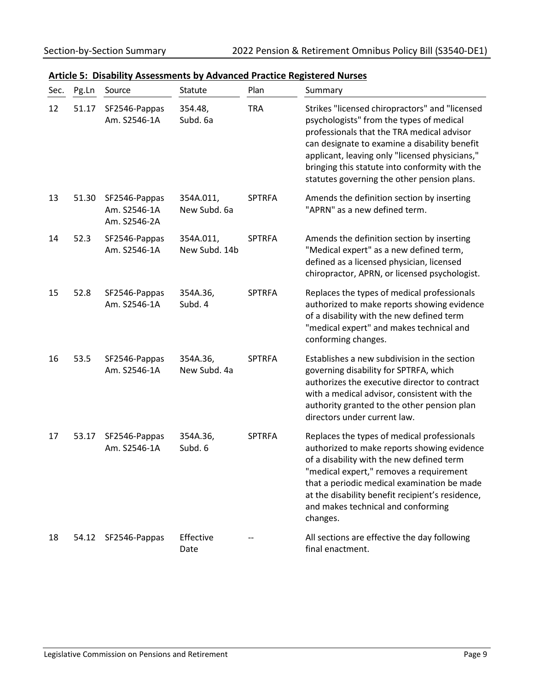| Sec. | Pg.Ln | Source                                        | <b>Statute</b>             | Plan          | Summary                                                                                                                                                                                                                                                                                                                                      |
|------|-------|-----------------------------------------------|----------------------------|---------------|----------------------------------------------------------------------------------------------------------------------------------------------------------------------------------------------------------------------------------------------------------------------------------------------------------------------------------------------|
| 12   | 51.17 | SF2546-Pappas<br>Am. S2546-1A                 | 354.48,<br>Subd. 6a        | <b>TRA</b>    | Strikes "licensed chiropractors" and "licensed<br>psychologists" from the types of medical<br>professionals that the TRA medical advisor<br>can designate to examine a disability benefit<br>applicant, leaving only "licensed physicians,"<br>bringing this statute into conformity with the<br>statutes governing the other pension plans. |
| 13   | 51.30 | SF2546-Pappas<br>Am. S2546-1A<br>Am. S2546-2A | 354A.011,<br>New Subd. 6a  | <b>SPTRFA</b> | Amends the definition section by inserting<br>"APRN" as a new defined term.                                                                                                                                                                                                                                                                  |
| 14   | 52.3  | SF2546-Pappas<br>Am. S2546-1A                 | 354A.011,<br>New Subd. 14b | <b>SPTRFA</b> | Amends the definition section by inserting<br>"Medical expert" as a new defined term,<br>defined as a licensed physician, licensed<br>chiropractor, APRN, or licensed psychologist.                                                                                                                                                          |
| 15   | 52.8  | SF2546-Pappas<br>Am. S2546-1A                 | 354A.36,<br>Subd. 4        | <b>SPTRFA</b> | Replaces the types of medical professionals<br>authorized to make reports showing evidence<br>of a disability with the new defined term<br>"medical expert" and makes technical and<br>conforming changes.                                                                                                                                   |
| 16   | 53.5  | SF2546-Pappas<br>Am. S2546-1A                 | 354A.36,<br>New Subd. 4a   | <b>SPTRFA</b> | Establishes a new subdivision in the section<br>governing disability for SPTRFA, which<br>authorizes the executive director to contract<br>with a medical advisor, consistent with the<br>authority granted to the other pension plan<br>directors under current law.                                                                        |
| 17   | 53.17 | SF2546-Pappas<br>Am. S2546-1A                 | 354A.36,<br>Subd. 6        | <b>SPTRFA</b> | Replaces the types of medical professionals<br>authorized to make reports showing evidence<br>of a disability with the new defined term<br>"medical expert," removes a requirement<br>that a periodic medical examination be made<br>at the disability benefit recipient's residence,<br>and makes technical and conforming<br>changes.      |
| 18   | 54.12 | SF2546-Pappas                                 | Effective<br>Date          |               | All sections are effective the day following<br>final enactment.                                                                                                                                                                                                                                                                             |

### **Article 5: Disability Assessments by Advanced Practice Registered Nurses**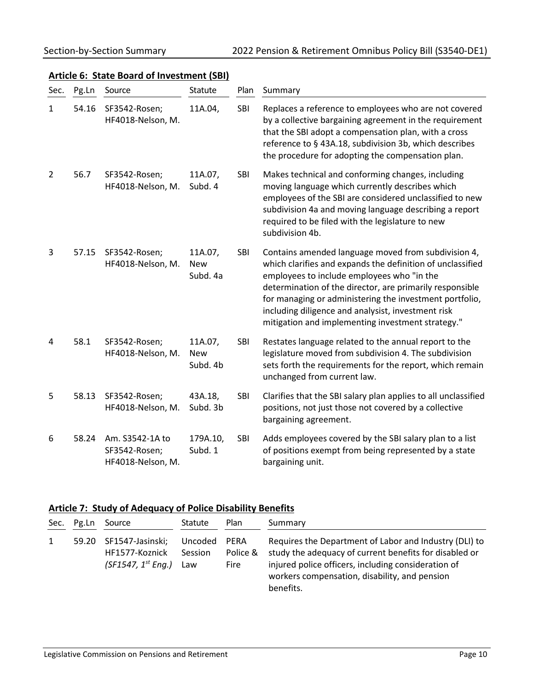| Sec.           | Pg.Ln | Source                                                | <b>Statute</b>                    | Plan       | Summary                                                                                                                                                                                                                                                                                                                                                                                           |
|----------------|-------|-------------------------------------------------------|-----------------------------------|------------|---------------------------------------------------------------------------------------------------------------------------------------------------------------------------------------------------------------------------------------------------------------------------------------------------------------------------------------------------------------------------------------------------|
| 1              | 54.16 | SF3542-Rosen;<br>HF4018-Nelson, M.                    | 11A.04,                           | SBI        | Replaces a reference to employees who are not covered<br>by a collective bargaining agreement in the requirement<br>that the SBI adopt a compensation plan, with a cross<br>reference to § 43A.18, subdivision 3b, which describes<br>the procedure for adopting the compensation plan.                                                                                                           |
| $\overline{2}$ | 56.7  | SF3542-Rosen;<br>HF4018-Nelson, M.                    | 11A.07,<br>Subd. 4                | SBI        | Makes technical and conforming changes, including<br>moving language which currently describes which<br>employees of the SBI are considered unclassified to new<br>subdivision 4a and moving language describing a report<br>required to be filed with the legislature to new<br>subdivision 4b.                                                                                                  |
| 3              | 57.15 | SF3542-Rosen;<br>HF4018-Nelson, M.                    | 11A.07,<br><b>New</b><br>Subd. 4a | SBI        | Contains amended language moved from subdivision 4,<br>which clarifies and expands the definition of unclassified<br>employees to include employees who "in the<br>determination of the director, are primarily responsible<br>for managing or administering the investment portfolio,<br>including diligence and analysist, investment risk<br>mitigation and implementing investment strategy." |
| 4              | 58.1  | SF3542-Rosen;<br>HF4018-Nelson, M.                    | 11A.07,<br><b>New</b><br>Subd. 4b | <b>SBI</b> | Restates language related to the annual report to the<br>legislature moved from subdivision 4. The subdivision<br>sets forth the requirements for the report, which remain<br>unchanged from current law.                                                                                                                                                                                         |
| 5              | 58.13 | SF3542-Rosen;<br>HF4018-Nelson, M.                    | 43A.18,<br>Subd. 3b               | SBI        | Clarifies that the SBI salary plan applies to all unclassified<br>positions, not just those not covered by a collective<br>bargaining agreement.                                                                                                                                                                                                                                                  |
| 6              | 58.24 | Am. S3542-1A to<br>SF3542-Rosen;<br>HF4018-Nelson, M. | 179A.10,<br>Subd. 1               | SBI        | Adds employees covered by the SBI salary plan to a list<br>of positions exempt from being represented by a state<br>bargaining unit.                                                                                                                                                                                                                                                              |

#### **Article 6: State Board of Investment (SBI)**

#### **Article 7: Study of Adequacy of Police Disability Benefits**

| Sec. | Pg.Ln | Source                                                              | Statute                   | Plan                                   | Summary                                                                                                                                                                                                                               |
|------|-------|---------------------------------------------------------------------|---------------------------|----------------------------------------|---------------------------------------------------------------------------------------------------------------------------------------------------------------------------------------------------------------------------------------|
|      |       | 59.20 SF1547-Jasinski;<br>HF1577-Koznick<br>(SF1547, $1^{st}$ Eng.) | Uncoded<br>Session<br>Law | <b>PERA</b><br>Police &<br><b>Fire</b> | Requires the Department of Labor and Industry (DLI) to<br>study the adequacy of current benefits for disabled or<br>injured police officers, including consideration of<br>workers compensation, disability, and pension<br>benefits. |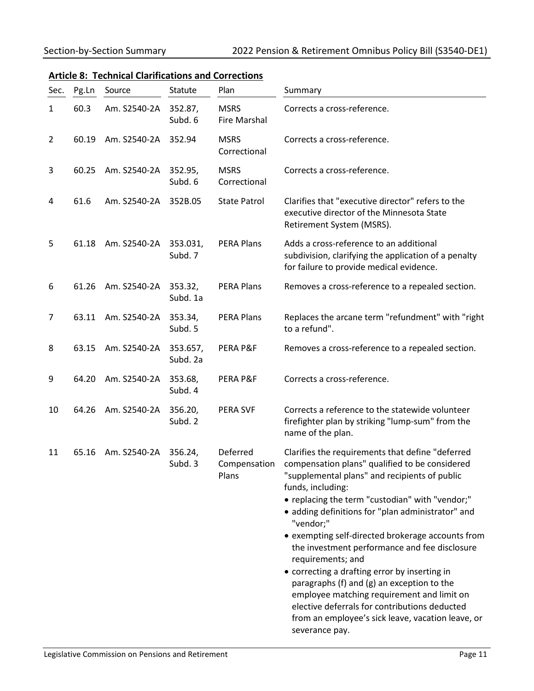| Sec. | Pg.Ln | Source       | Statute              | Plan                               | Summary                                                                                                                                                                                                                                                                                                                                                                                                                                                                                                                                                                                                                                                                                       |
|------|-------|--------------|----------------------|------------------------------------|-----------------------------------------------------------------------------------------------------------------------------------------------------------------------------------------------------------------------------------------------------------------------------------------------------------------------------------------------------------------------------------------------------------------------------------------------------------------------------------------------------------------------------------------------------------------------------------------------------------------------------------------------------------------------------------------------|
| 1    | 60.3  | Am. S2540-2A | 352.87,<br>Subd. 6   | <b>MSRS</b><br><b>Fire Marshal</b> | Corrects a cross-reference.                                                                                                                                                                                                                                                                                                                                                                                                                                                                                                                                                                                                                                                                   |
| 2    | 60.19 | Am. S2540-2A | 352.94               | <b>MSRS</b><br>Correctional        | Corrects a cross-reference.                                                                                                                                                                                                                                                                                                                                                                                                                                                                                                                                                                                                                                                                   |
| 3    | 60.25 | Am. S2540-2A | 352.95,<br>Subd. 6   | <b>MSRS</b><br>Correctional        | Corrects a cross-reference.                                                                                                                                                                                                                                                                                                                                                                                                                                                                                                                                                                                                                                                                   |
| 4    | 61.6  | Am. S2540-2A | 352B.05              | <b>State Patrol</b>                | Clarifies that "executive director" refers to the<br>executive director of the Minnesota State<br>Retirement System (MSRS).                                                                                                                                                                                                                                                                                                                                                                                                                                                                                                                                                                   |
| 5    | 61.18 | Am. S2540-2A | 353.031,<br>Subd. 7  | <b>PERA Plans</b>                  | Adds a cross-reference to an additional<br>subdivision, clarifying the application of a penalty<br>for failure to provide medical evidence.                                                                                                                                                                                                                                                                                                                                                                                                                                                                                                                                                   |
| 6    | 61.26 | Am. S2540-2A | 353.32,<br>Subd. 1a  | <b>PERA Plans</b>                  | Removes a cross-reference to a repealed section.                                                                                                                                                                                                                                                                                                                                                                                                                                                                                                                                                                                                                                              |
| 7    | 63.11 | Am. S2540-2A | 353.34,<br>Subd. 5   | <b>PERA Plans</b>                  | Replaces the arcane term "refundment" with "right<br>to a refund".                                                                                                                                                                                                                                                                                                                                                                                                                                                                                                                                                                                                                            |
| 8    | 63.15 | Am. S2540-2A | 353.657,<br>Subd. 2a | PERA P&F                           | Removes a cross-reference to a repealed section.                                                                                                                                                                                                                                                                                                                                                                                                                                                                                                                                                                                                                                              |
| 9    | 64.20 | Am. S2540-2A | 353.68,<br>Subd. 4   | PERA P&F                           | Corrects a cross-reference.                                                                                                                                                                                                                                                                                                                                                                                                                                                                                                                                                                                                                                                                   |
| 10   | 64.26 | Am. S2540-2A | 356.20,<br>Subd. 2   | <b>PERA SVF</b>                    | Corrects a reference to the statewide volunteer<br>firefighter plan by striking "lump-sum" from the<br>name of the plan.                                                                                                                                                                                                                                                                                                                                                                                                                                                                                                                                                                      |
| 11   | 65.16 | Am. S2540-2A | 356.24,<br>Subd. 3   | Deferred<br>Compensation<br>Plans  | Clarifies the requirements that define "deferred<br>compensation plans" qualified to be considered<br>"supplemental plans" and recipients of public<br>funds, including:<br>• replacing the term "custodian" with "vendor;"<br>· adding definitions for "plan administrator" and<br>"vendor;"<br>• exempting self-directed brokerage accounts from<br>the investment performance and fee disclosure<br>requirements; and<br>• correcting a drafting error by inserting in<br>paragraphs (f) and (g) an exception to the<br>employee matching requirement and limit on<br>elective deferrals for contributions deducted<br>from an employee's sick leave, vacation leave, or<br>severance pay. |

#### **Article 8: Technical Clarifications and Corrections**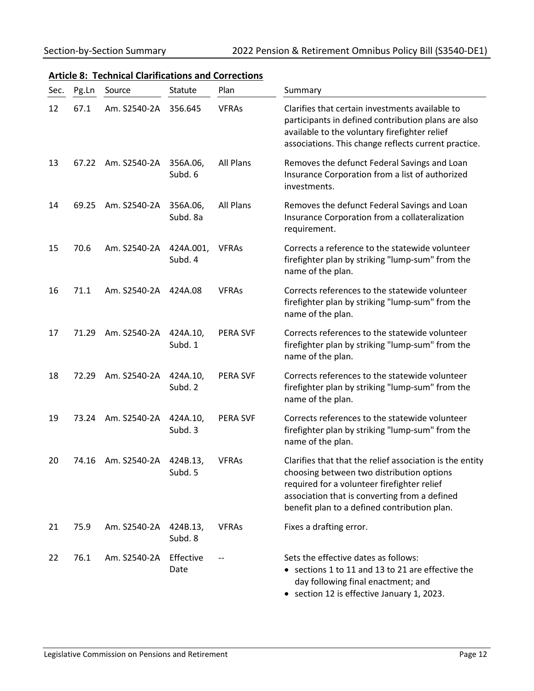| Sec. | Pg.Ln | <u>Article of Technical Clarifications and Corrections</u><br>Source | Statute              | Plan             | Summary                                                                                                                                                                                                                                               |
|------|-------|----------------------------------------------------------------------|----------------------|------------------|-------------------------------------------------------------------------------------------------------------------------------------------------------------------------------------------------------------------------------------------------------|
| 12   | 67.1  | Am. S2540-2A                                                         | 356.645              | <b>VFRAs</b>     | Clarifies that certain investments available to<br>participants in defined contribution plans are also<br>available to the voluntary firefighter relief<br>associations. This change reflects current practice.                                       |
| 13   | 67.22 | Am. S2540-2A                                                         | 356A.06,<br>Subd. 6  | <b>All Plans</b> | Removes the defunct Federal Savings and Loan<br>Insurance Corporation from a list of authorized<br>investments.                                                                                                                                       |
| 14   | 69.25 | Am. S2540-2A                                                         | 356A.06,<br>Subd. 8a | All Plans        | Removes the defunct Federal Savings and Loan<br>Insurance Corporation from a collateralization<br>requirement.                                                                                                                                        |
| 15   | 70.6  | Am. S2540-2A                                                         | 424A.001,<br>Subd. 4 | <b>VFRAs</b>     | Corrects a reference to the statewide volunteer<br>firefighter plan by striking "lump-sum" from the<br>name of the plan.                                                                                                                              |
| 16   | 71.1  | Am. S2540-2A                                                         | 424A.08              | <b>VFRAs</b>     | Corrects references to the statewide volunteer<br>firefighter plan by striking "lump-sum" from the<br>name of the plan.                                                                                                                               |
| 17   | 71.29 | Am. S2540-2A                                                         | 424A.10,<br>Subd. 1  | <b>PERA SVF</b>  | Corrects references to the statewide volunteer<br>firefighter plan by striking "lump-sum" from the<br>name of the plan.                                                                                                                               |
| 18   | 72.29 | Am. S2540-2A                                                         | 424A.10,<br>Subd. 2  | <b>PERA SVF</b>  | Corrects references to the statewide volunteer<br>firefighter plan by striking "lump-sum" from the<br>name of the plan.                                                                                                                               |
| 19   | 73.24 | Am. S2540-2A                                                         | 424A.10,<br>Subd. 3  | <b>PERA SVF</b>  | Corrects references to the statewide volunteer<br>firefighter plan by striking "lump-sum" from the<br>name of the plan.                                                                                                                               |
| 20   | 74.16 | Am. S2540-2A                                                         | 424B.13,<br>Subd. 5  | <b>VFRAs</b>     | Clarifies that that the relief association is the entity<br>choosing between two distribution options<br>required for a volunteer firefighter relief<br>association that is converting from a defined<br>benefit plan to a defined contribution plan. |
| 21   | 75.9  | Am. S2540-2A                                                         | 424B.13,<br>Subd. 8  | <b>VFRAs</b>     | Fixes a drafting error.                                                                                                                                                                                                                               |
| 22   | 76.1  | Am. S2540-2A                                                         | Effective<br>Date    |                  | Sets the effective dates as follows:<br>• sections 1 to 11 and 13 to 21 are effective the<br>day following final enactment; and                                                                                                                       |

#### **Article 8: Technical Clarifications and Corrections**

• section 12 is effective January 1, 2023.